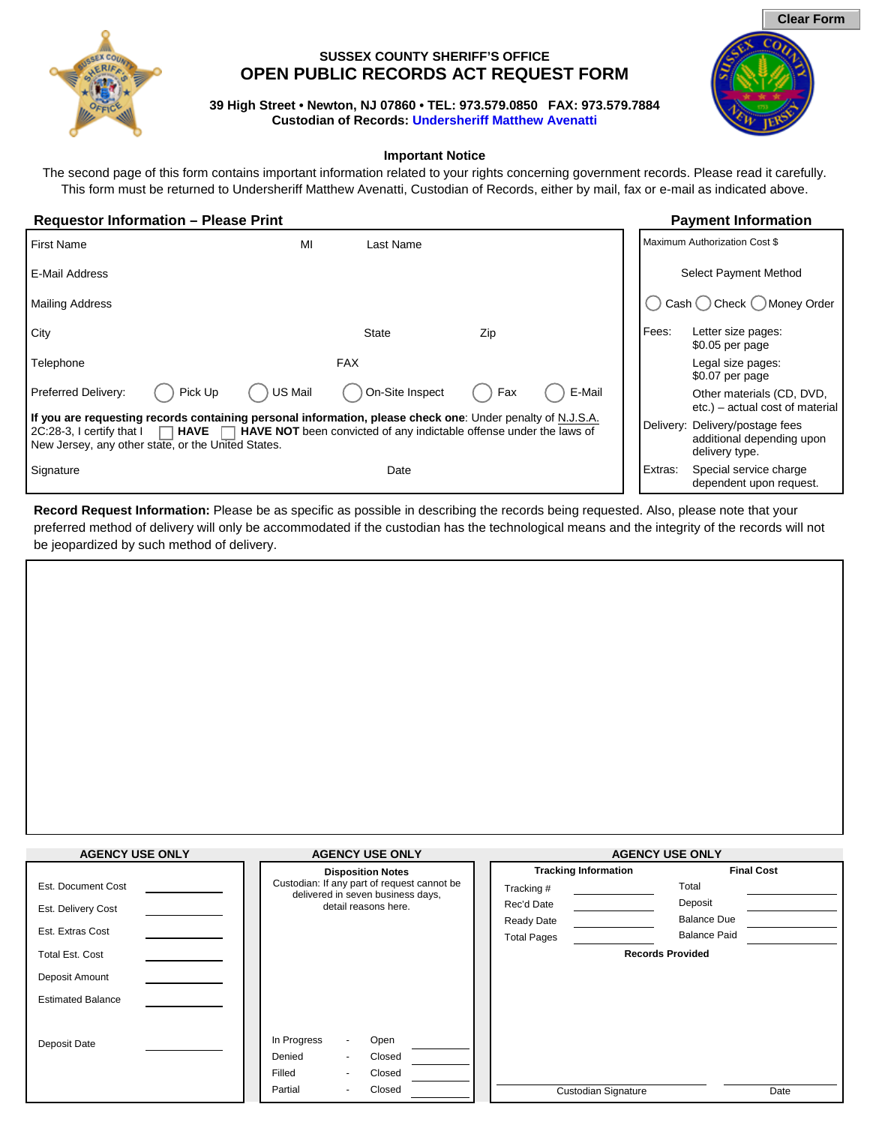

# **SUSSEX COUNTY SHERIFF'S OFFICE OPEN PUBLIC RECORDS ACT REQUEST FORM**

**39 High Street • Newton, NJ 07860 • TEL: 973.579.0850 FAX: 973.579.7884 Custodian of Records: [Undersheriff Matthew Avenatti](mailto:mavenatti@sussexcountysheriff.com)**



The second page of this form contains important information related to your rights concerning government records. Please read it carefully. This form must be returned to Undersheriff Matthew Avenatti, Custodian of Records, either by mail, fax or e-mail as indicated above.

## **Requestor Information – Please Print Payment Information**

| <b>First Name</b>                                                                                                                                                                                            | MI         | Last Name                                                                  |     |        |         | Maximum Authorization Cost \$                                                  |
|--------------------------------------------------------------------------------------------------------------------------------------------------------------------------------------------------------------|------------|----------------------------------------------------------------------------|-----|--------|---------|--------------------------------------------------------------------------------|
| E-Mail Address                                                                                                                                                                                               |            |                                                                            |     |        |         | Select Payment Method                                                          |
| <b>Mailing Address</b>                                                                                                                                                                                       |            |                                                                            |     |        | Cash    | Money Order<br>∕ Check                                                         |
| City                                                                                                                                                                                                         |            | <b>State</b>                                                               | Zip |        | Fees:   | Letter size pages:<br>$$0.05$ per page                                         |
| Telephone                                                                                                                                                                                                    | <b>FAX</b> |                                                                            |     |        |         | Legal size pages:<br>\$0.07 per page                                           |
| Preferred Delivery:<br>US Mail<br>Pick Up                                                                                                                                                                    |            | On-Site Inspect                                                            | Fax | E-Mail |         | Other materials (CD, DVD,<br>etc.) – actual cost of material                   |
| If you are requesting records containing personal information, please check one: Under penalty of N.J.S.A.<br><b>HAVE</b><br>2C:28-3, I certify that I<br>New Jersey, any other state, or the United States. |            | <b>HAVE NOT</b> been convicted of any indictable offense under the laws of |     |        |         | Delivery: Delivery/postage fees<br>additional depending upon<br>delivery type. |
| Signature                                                                                                                                                                                                    |            | Date                                                                       |     |        | Extras: | Special service charge<br>dependent upon request.                              |

**Record Request Information:** Please be as specific as possible in describing the records being requested. Also, please note that your preferred method of delivery will only be accommodated if the custodian has the technological means and the integrity of the records will not be jeopardized by such method of delivery.

| <b>AGENCY USE ONLY</b>   | <b>AGENCY USE ONLY</b>                                                           |                             | <b>AGENCY USE ONLY</b>  |  |  |  |
|--------------------------|----------------------------------------------------------------------------------|-----------------------------|-------------------------|--|--|--|
|                          | <b>Disposition Notes</b>                                                         | <b>Tracking Information</b> | <b>Final Cost</b>       |  |  |  |
| Est. Document Cost       | Custodian: If any part of request cannot be<br>delivered in seven business days, | Tracking #                  | Total                   |  |  |  |
| Est. Delivery Cost       | detail reasons here.                                                             | Rec'd Date                  | Deposit                 |  |  |  |
|                          |                                                                                  | <b>Ready Date</b>           | <b>Balance Due</b>      |  |  |  |
| Est. Extras Cost         |                                                                                  | <b>Total Pages</b>          | <b>Balance Paid</b>     |  |  |  |
| <b>Total Est. Cost</b>   |                                                                                  |                             | <b>Records Provided</b> |  |  |  |
| Deposit Amount           |                                                                                  |                             |                         |  |  |  |
| <b>Estimated Balance</b> |                                                                                  |                             |                         |  |  |  |
|                          |                                                                                  |                             |                         |  |  |  |
| Deposit Date             | In Progress<br>Open                                                              |                             |                         |  |  |  |
|                          | Denied<br>Closed                                                                 |                             |                         |  |  |  |
|                          | Filled<br>Closed                                                                 |                             |                         |  |  |  |
|                          | Closed<br>Partial                                                                | Custodian Signature         | Date                    |  |  |  |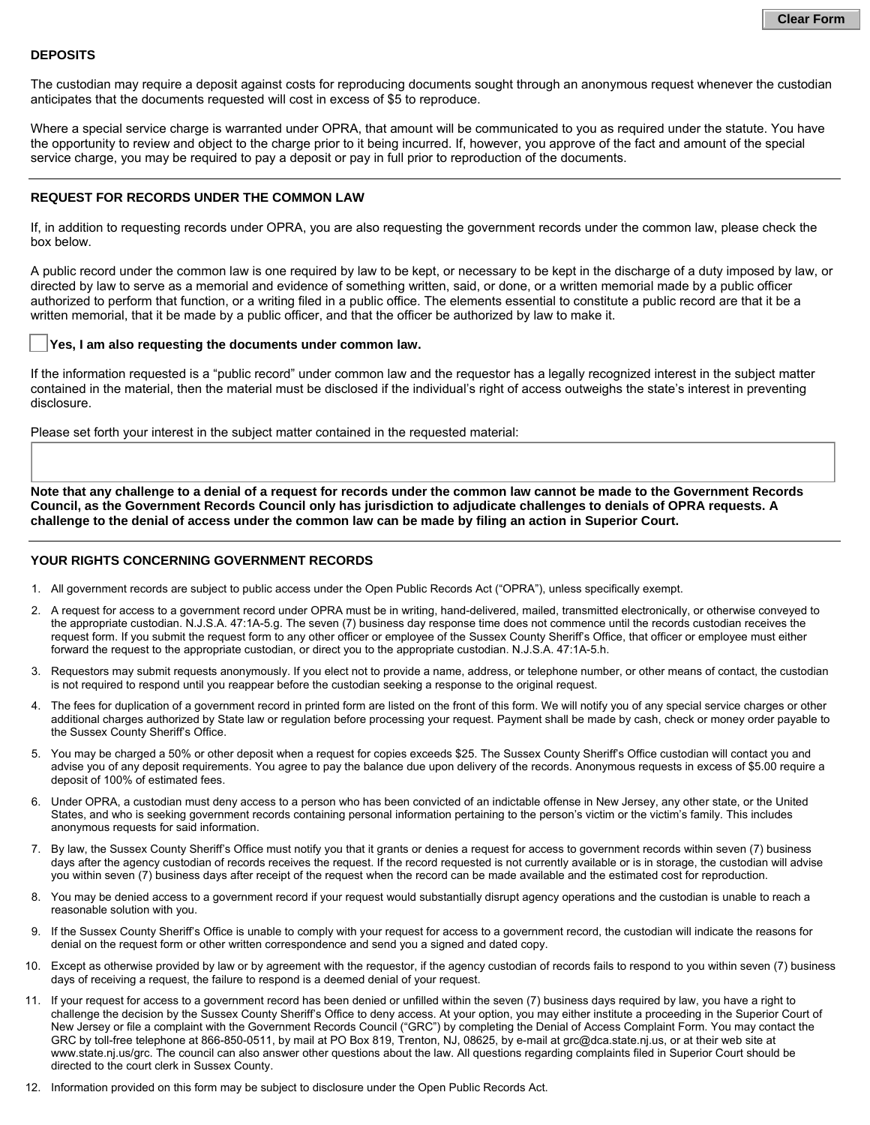### **DEPOSITS**

The custodian may require a deposit against costs for reproducing documents sought through an anonymous request whenever the custodian anticipates that the documents requested will cost in excess of \$5 to reproduce.

Where a special service charge is warranted under OPRA, that amount will be communicated to you as required under the statute. You have the opportunity to review and object to the charge prior to it being incurred. If, however, you approve of the fact and amount of the special service charge, you may be required to pay a deposit or pay in full prior to reproduction of the documents.

### **REQUEST FOR RECORDS UNDER THE COMMON LAW**

If, in addition to requesting records under OPRA, you are also requesting the government records under the common law, please check the box below.

A public record under the common law is one required by law to be kept, or necessary to be kept in the discharge of a duty imposed by law, or directed by law to serve as a memorial and evidence of something written, said, or done, or a written memorial made by a public officer authorized to perform that function, or a writing filed in a public office. The elements essential to constitute a public record are that it be a written memorial, that it be made by a public officer, and that the officer be authorized by law to make it.



## Yes, I am also requesting the documents under common law.

If the information requested is a "public record" under common law and the requestor has a legally recognized interest in the subject matter contained in the material, then the material must be disclosed if the individual's right of access outweighs the state's interest in preventing disclosure.

Please set forth your interest in the subject matter contained in the requested material:

**Note that any challenge to a denial of a request for records under the common law cannot be made to the Government Records Council, as the Government Records Council only has jurisdiction to adjudicate challenges to denials of OPRA requests. A challenge to the denial of access under the common law can be made by filing an action in Superior Court.** 

## **YOUR RIGHTS CONCERNING GOVERNMENT RECORDS**

- 1. All government records are subject to public access under the Open Public Records Act ("OPRA"), unless specifically exempt.
- 2. A request for access to a government record under OPRA must be in writing, hand-delivered, mailed, transmitted electronically, or otherwise conveyed to the appropriate custodian. N.J.S.A. 47:1A-5.g. The seven (7) business day response time does not commence until the records custodian receives the request form. If you submit the request form to any other officer or employee of the Sussex County Sheriff's Office, that officer or employee must either forward the request to the appropriate custodian, or direct you to the appropriate custodian. N.J.S.A. 47:1A-5.h.
- 3. Requestors may submit requests anonymously. If you elect not to provide a name, address, or telephone number, or other means of contact, the custodian is not required to respond until you reappear before the custodian seeking a response to the original request.
- 4. The fees for duplication of a government record in printed form are listed on the front of this form. We will notify you of any special service charges or other additional charges authorized by State law or regulation before processing your request. Payment shall be made by cash, check or money order payable to the Sussex County Sheriff's Office.
- 5. You may be charged a 50% or other deposit when a request for copies exceeds \$25. The Sussex County Sheriff's Office custodian will contact you and advise you of any deposit requirements. You agree to pay the balance due upon delivery of the records. Anonymous requests in excess of \$5.00 require a deposit of 100% of estimated fees.
- 6. Under OPRA, a custodian must deny access to a person who has been convicted of an indictable offense in New Jersey, any other state, or the United States, and who is seeking government records containing personal information pertaining to the person's victim or the victim's family. This includes anonymous requests for said information.
- 7. By law, the Sussex County Sheriff's Office must notify you that it grants or denies a request for access to government records within seven (7) business days after the agency custodian of records receives the request. If the record requested is not currently available or is in storage, the custodian will advise you within seven (7) business days after receipt of the request when the record can be made available and the estimated cost for reproduction.
- 8. You may be denied access to a government record if your request would substantially disrupt agency operations and the custodian is unable to reach a reasonable solution with you.
- 9. If the Sussex County Sheriff's Office is unable to comply with your request for access to a government record, the custodian will indicate the reasons for denial on the request form or other written correspondence and send you a signed and dated copy.
- 10. Except as otherwise provided by law or by agreement with the requestor, if the agency custodian of records fails to respond to you within seven (7) business days of receiving a request, the failure to respond is a deemed denial of your request.
- 11. If your request for access to a government record has been denied or unfilled within the seven (7) business days required by law, you have a right to challenge the decision by the Sussex County Sheriff's Office to deny access. At your option, you may either institute a proceeding in the Superior Court of New Jersey or file a complaint with the Government Records Council ("GRC") by completing the Denial of Access Complaint Form. You may contact the GRC by toll-free telephone at 866-850-0511, by mail at PO Box 819, Trenton, NJ, 08625, by e-mail at grc@dca.state.nj.us, or at their web site at www.state.nj.us/grc. The council can also answer other questions about the law. All questions regarding complaints filed in Superior Court should be directed to the court clerk in Sussex County.
- 12. Information provided on this form may be subject to disclosure under the Open Public Records Act.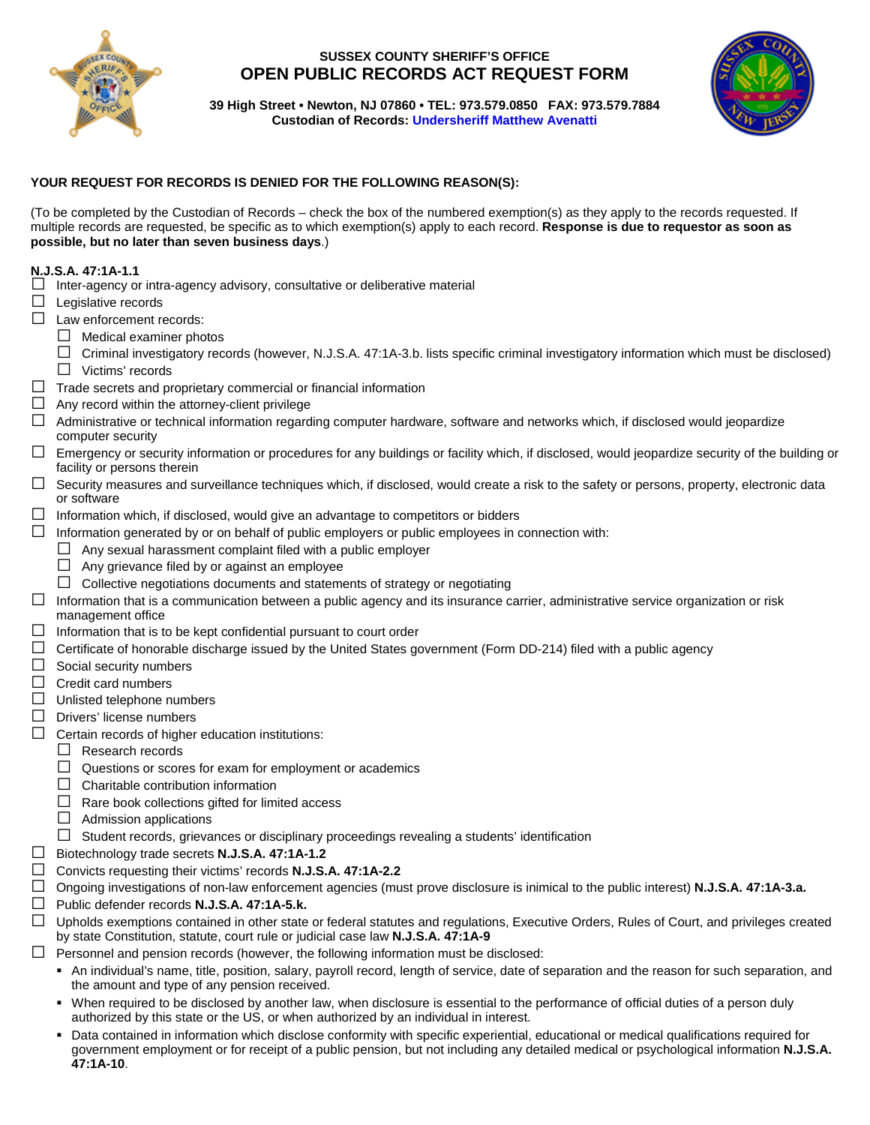

# **SUSSEX COUNTY SHERIFF'S OFFICE OPEN PUBLIC RECORDS ACT REQUEST FORM**



**39 High Street • Newton, NJ 07860 • TEL: 973.579.0850 FAX: 973.579.7884 Custodian of Records: [Undersheriff Matthew Avenatti](mailto:mavenatti@sussexcountysheriff.com)**

# **YOUR REQUEST FOR RECORDS IS DENIED FOR THE FOLLOWING REASON(S):**

(To be completed by the Custodian of Records – check the box of the numbered exemption(s) as they apply to the records requested. If multiple records are requested, be specific as to which exemption(s) apply to each record. **Response is due to requestor as soon as possible, but no later than seven business days**.)

# **N.J.S.A. 47:1A-1.1**

- $\square$  Inter-agency or intra-agency advisory, consultative or deliberative material
- $\Box$  Legislative records
- □ Law enforcement records:
	- $\Box$  Medical examiner photos
	- $\Box$  Criminal investigatory records (however, N.J.S.A. 47:1A-3.b. lists specific criminal investigatory information which must be disclosed)
	- □ Victims' records
- $\square$  Trade secrets and proprietary commercial or financial information
- $\Box$  Any record within the attorney-client privilege
- $\Box$  Administrative or technical information regarding computer hardware, software and networks which, if disclosed would jeopardize computer security
- $\Box$  Emergency or security information or procedures for any buildings or facility which, if disclosed, would jeopardize security of the building or facility or persons therein
- $\Box$  Security measures and surveillance techniques which, if disclosed, would create a risk to the safety or persons, property, electronic data or software
- $\square$  Information which, if disclosed, would give an advantage to competitors or bidders
- $\Box$  Information generated by or on behalf of public employers or public employees in connection with:
	- $\Box$  Any sexual harassment complaint filed with a public employer
	- $\Box$  Any grievance filed by or against an employee
	- $\Box$  Collective negotiations documents and statements of strategy or negotiating
- $\Box$  Information that is a communication between a public agency and its insurance carrier, administrative service organization or risk management office
- $\Box$  Information that is to be kept confidential pursuant to court order
- $\Box$  Certificate of honorable discharge issued by the United States government (Form DD-214) filed with a public agency
- $\Box$  Social security numbers
- $\Box$  Credit card numbers
- $\Box$  Unlisted telephone numbers
- $\Box$  Drivers' license numbers
- $\Box$  Certain records of higher education institutions:
	- $\Box$  Research records
	- $\Box$  Questions or scores for exam for employment or academics
	- $\Box$  Charitable contribution information
	- $\Box$  Rare book collections gifted for limited access
	- $\Box$  Admission applications
	- $\Box$  Student records, grievances or disciplinary proceedings revealing a students' identification
- □ Biotechnology trade secrets **N.J.S.A. 47:1A-1.2**
- □ Convicts requesting their victims' records **N.J.S.A. 47:1A-2.2**
- □ Ongoing investigations of non-law enforcement agencies (must prove disclosure is inimical to the public interest) **N.J.S.A. 47:1A-3.a.**
- □ Public defender records **N.J.S.A. 47:1A-5.k.**
- $\Box$  Upholds exemptions contained in other state or federal statutes and regulations, Executive Orders, Rules of Court, and privileges created by state Constitution, statute, court rule or judicial case law **N.J.S.A. 47:1A-9**
- $\Box$  Personnel and pension records (however, the following information must be disclosed:
	- An individual's name, title, position, salary, payroll record, length of service, date of separation and the reason for such separation, and the amount and type of any pension received.
	- When required to be disclosed by another law, when disclosure is essential to the performance of official duties of a person duly authorized by this state or the US, or when authorized by an individual in interest.
	- Data contained in information which disclose conformity with specific experiential, educational or medical qualifications required for government employment or for receipt of a public pension, but not including any detailed medical or psychological information **N.J.S.A. 47:1A-10**.